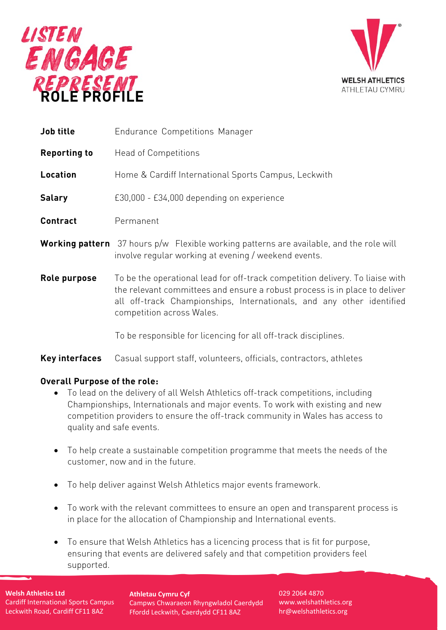



| <b>Job title</b>    | <b>Endurance Competitions Manager</b>                                                                                                                                                                                                                             |
|---------------------|-------------------------------------------------------------------------------------------------------------------------------------------------------------------------------------------------------------------------------------------------------------------|
| <b>Reporting to</b> | <b>Head of Competitions</b>                                                                                                                                                                                                                                       |
| Location            | Home & Cardiff International Sports Campus, Leckwith                                                                                                                                                                                                              |
| <b>Salary</b>       | £30,000 - £34,000 depending on experience                                                                                                                                                                                                                         |
| <b>Contract</b>     | Permanent                                                                                                                                                                                                                                                         |
|                     | <b>Working pattern</b> 37 hours p/w Flexible working patterns are available, and the role will<br>involve regular working at evening / weekend events.                                                                                                            |
| Role purpose        | To be the operational lead for off-track competition delivery. To liaise with<br>the relevant committees and ensure a robust process is in place to deliver<br>all off-track Championships, Internationals, and any other identified<br>competition across Wales. |
|                     | To be responsible for licencing for all off-track disciplines.                                                                                                                                                                                                    |

#### **Key interfaces** Casual support staff, volunteers, officials, contractors, athletes

#### **Overall Purpose of the role:**

- To lead on the delivery of all Welsh Athletics off-track competitions, including Championships, Internationals and major events. To work with existing and new competition providers to ensure the off-track community in Wales has access to quality and safe events.
- To help create a sustainable competition programme that meets the needs of the customer, now and in the future.
- To help deliver against Welsh Athletics major events framework.
- To work with the relevant committees to ensure an open and transparent process is in place for the allocation of Championship and International events.
- To ensure that Welsh Athletics has a licencing process that is fit for purpose, ensuring that events are delivered safely and that competition providers feel supported.

# **Welsh Athletics Ltd**

Cardiff International Sports Campus Leckwith Road, Cardiff CF11 8AZ

**Athletau Cymru Cyf** Campws Chwaraeon Rhyngwladol Caerdydd Ffordd Leckwith, Caerdydd CF11 8AZ

029 2064 4870 [www.welshathletics.org](http://www.welshathletics.org/) [hr@welshathletics.org](mailto:hr@welshathletics.org)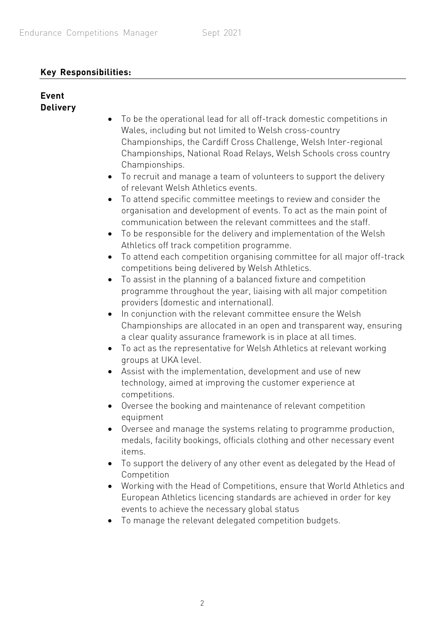### **Key Responsibilities:**

#### **Event Delivery**

- To be the operational lead for all off-track domestic competitions in Wales, including but not limited to Welsh cross-country Championships, the Cardiff Cross Challenge, Welsh Inter-regional Championships, National Road Relays, Welsh Schools cross country Championships.
- To recruit and manage a team of volunteers to support the delivery of relevant Welsh Athletics events.
- To attend specific committee meetings to review and consider the organisation and development of events. To act as the main point of communication between the relevant committees and the staff.
- To be responsible for the delivery and implementation of the Welsh Athletics off track competition programme.
- To attend each competition organising committee for all major off-track competitions being delivered by Welsh Athletics.
- To assist in the planning of a balanced fixture and competition programme throughout the year, liaising with all major competition providers (domestic and international).
- In conjunction with the relevant committee ensure the Welsh Championships are allocated in an open and transparent way, ensuring a clear quality assurance framework is in place at all times.
- To act as the representative for Welsh Athletics at relevant working groups at UKA level.
- Assist with the implementation, development and use of new technology, aimed at improving the customer experience at competitions.
- Oversee the booking and maintenance of relevant competition equipment
- Oversee and manage the systems relating to programme production, medals, facility bookings, officials clothing and other necessary event items.
- To support the delivery of any other event as delegated by the Head of Competition
- Working with the Head of Competitions, ensure that World Athletics and European Athletics licencing standards are achieved in order for key events to achieve the necessary global status
- To manage the relevant delegated competition budgets.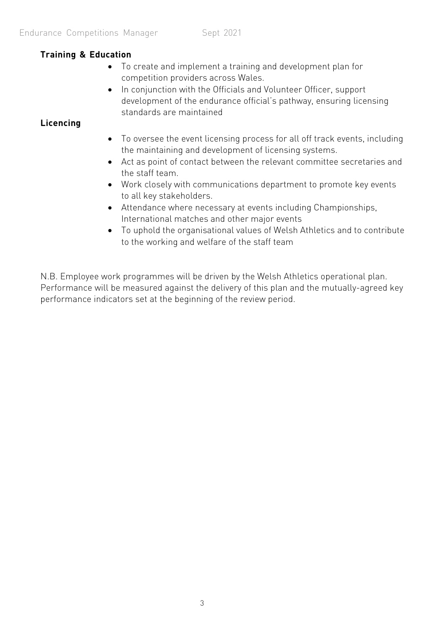### **Training & Education**

- To create and implement a training and development plan for competition providers across Wales.
- In conjunction with the Officials and Volunteer Officer, support development of the endurance official's pathway, ensuring licensing standards are maintained

### **Licencing**

- To oversee the event licensing process for all off track events, including the maintaining and development of licensing systems.
- Act as point of contact between the relevant committee secretaries and the staff team.
- Work closely with communications department to promote key events to all key stakeholders.
- Attendance where necessary at events including Championships, International matches and other major events
- To uphold the organisational values of Welsh Athletics and to contribute to the working and welfare of the staff team

N.B. Employee work programmes will be driven by the Welsh Athletics operational plan. Performance will be measured against the delivery of this plan and the mutually-agreed key performance indicators set at the beginning of the review period.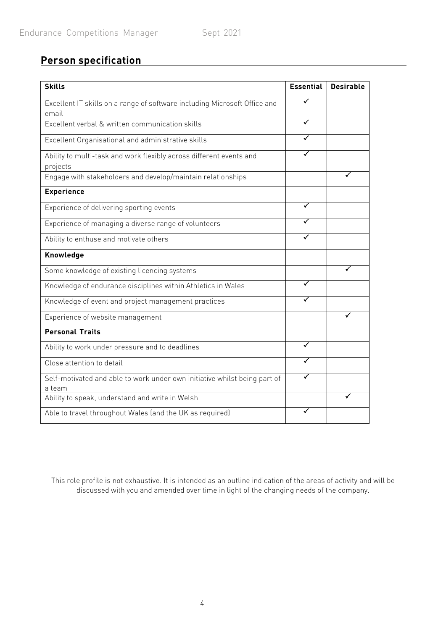## **Person specification**

| <b>Skills</b>                                                                       | <b>Essential</b> | <b>Desirable</b> |
|-------------------------------------------------------------------------------------|------------------|------------------|
| Excellent IT skills on a range of software including Microsoft Office and<br>email  | ✓                |                  |
| Excellent verbal & written communication skills                                     |                  |                  |
| Excellent Organisational and administrative skills                                  |                  |                  |
| Ability to multi-task and work flexibly across different events and<br>projects     |                  |                  |
| Engage with stakeholders and develop/maintain relationships                         |                  |                  |
| <b>Experience</b>                                                                   |                  |                  |
| Experience of delivering sporting events                                            |                  |                  |
| Experience of managing a diverse range of volunteers                                |                  |                  |
| Ability to enthuse and motivate others                                              |                  |                  |
| Knowledge                                                                           |                  |                  |
| Some knowledge of existing licencing systems                                        |                  |                  |
| Knowledge of endurance disciplines within Athletics in Wales                        |                  |                  |
| Knowledge of event and project management practices                                 |                  |                  |
| Experience of website management                                                    |                  |                  |
| <b>Personal Traits</b>                                                              |                  |                  |
| Ability to work under pressure and to deadlines                                     |                  |                  |
| Close attention to detail                                                           |                  |                  |
| Self-motivated and able to work under own initiative whilst being part of<br>a team |                  |                  |
| Ability to speak, understand and write in Welsh                                     |                  |                  |
| Able to travel throughout Wales (and the UK as required)                            |                  |                  |

This role profile is not exhaustive. It is intended as an outline indication of the areas of activity and will be discussed with you and amended over time in light of the changing needs of the company.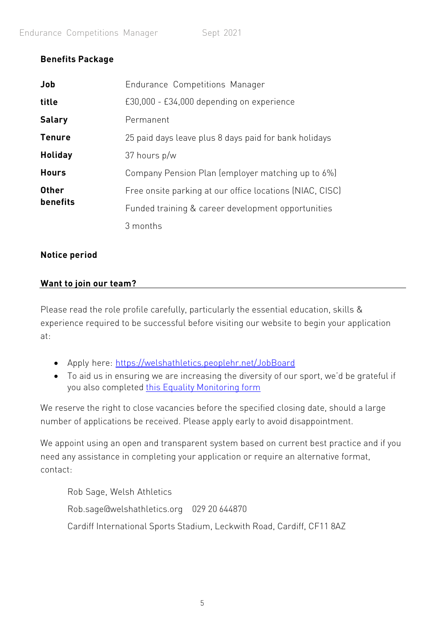### **Benefits Package**

| Job            | Endurance Competitions Manager                           |
|----------------|----------------------------------------------------------|
| title          | £30,000 - £34,000 depending on experience                |
| <b>Salary</b>  | Permanent                                                |
| <b>Tenure</b>  | 25 paid days leave plus 8 days paid for bank holidays    |
| <b>Holiday</b> | 37 hours p/w                                             |
| <b>Hours</b>   | Company Pension Plan (employer matching up to 6%)        |
| <b>Other</b>   | Free onsite parking at our office locations (NIAC, CISC) |
| benefits       | Funded training & career development opportunities       |
|                | 3 months                                                 |

### **Notice period**

### **Want to join our team?**

Please read the role profile carefully, particularly the essential education, skills & experience required to be successful before visiting our website to begin your application at:

- Apply here: <https://welshathletics.peoplehr.net/JobBoard>
- To aid us in ensuring we are increasing the diversity of our sport, we'd be grateful if you also completed [this Equality](https://forms.office.com/Pages/ResponsePage.aspx?id=1-RDfO1nXUekdsPXx6hqNm2Wiir5IeZLlSKzNPdObGRURVhFT0VUMlI2RkJVTllLS1lUTVgyOEFGRyQlQCN0PWcu) Monitoring form

We reserve the right to close vacancies before the specified closing date, should a large number of applications be received. Please apply early to avoid disappointment.

We appoint using an open and transparent system based on current best practice and if you need any assistance in completing your application or require an alternative format, contact:

Rob Sage, Welsh Athletics [Rob.sage@welshathletics.org](mailto:Rob.sage@welshathletics.org) 029 20 644870 Cardiff International Sports Stadium, Leckwith Road, Cardiff, CF11 8AZ